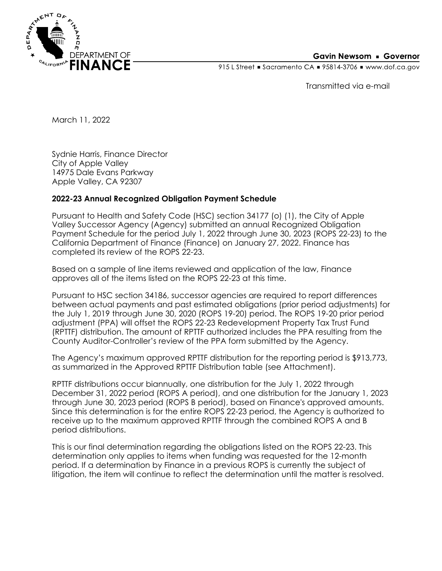

## **Gavin Newsom • Governor**

915 L Street Gacramento CA = 95814-3706 Www.dof.ca.gov

Transmitted via e-mail

March 11, 2022

Sydnie Harris, Finance Director City of Apple Valley 14975 Dale Evans Parkway Apple Valley, CA 92307

## **2022-23 Annual Recognized Obligation Payment Schedule**

Pursuant to Health and Safety Code (HSC) section 34177 (o) (1), the City of Apple Valley Successor Agency (Agency) submitted an annual Recognized Obligation Payment Schedule for the period July 1, 2022 through June 30, 2023 (ROPS 22-23) to the California Department of Finance (Finance) on January 27, 2022. Finance has completed its review of the ROPS 22-23.

Based on a sample of line items reviewed and application of the law, Finance approves all of the items listed on the ROPS 22-23 at this time.

Pursuant to HSC section 34186, successor agencies are required to report differences between actual payments and past estimated obligations (prior period adjustments) for the July 1, 2019 through June 30, 2020 (ROPS 19-20) period. The ROPS 19-20 prior period adjustment (PPA) will offset the ROPS 22-23 Redevelopment Property Tax Trust Fund (RPTTF) distribution. The amount of RPTTF authorized includes the PPA resulting from the County Auditor-Controller's review of the PPA form submitted by the Agency.

The Agency's maximum approved RPTTF distribution for the reporting period is \$913,773, as summarized in the Approved RPTTF Distribution table (see Attachment).

RPTTF distributions occur biannually, one distribution for the July 1, 2022 through December 31, 2022 period (ROPS A period), and one distribution for the January 1, 2023 through June 30, 2023 period (ROPS B period), based on Finance's approved amounts. Since this determination is for the entire ROPS 22-23 period, the Agency is authorized to receive up to the maximum approved RPTTF through the combined ROPS A and B period distributions.

This is our final determination regarding the obligations listed on the ROPS 22-23. This determination only applies to items when funding was requested for the 12-month period. If a determination by Finance in a previous ROPS is currently the subject of litigation, the item will continue to reflect the determination until the matter is resolved.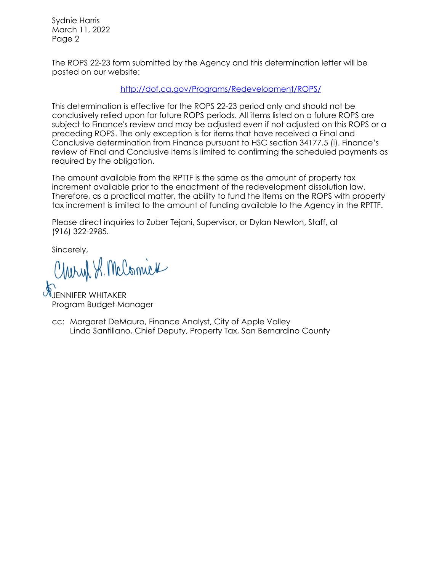Sydnie Harris March 11, 2022 Page 2

The ROPS 22-23 form submitted by the Agency and this determination letter will be posted on our website:

<http://dof.ca.gov/Programs/Redevelopment/ROPS/>

This determination is effective for the ROPS 22-23 period only and should not be conclusively relied upon for future ROPS periods. All items listed on a future ROPS are subject to Finance's review and may be adjusted even if not adjusted on this ROPS or a preceding ROPS. The only exception is for items that have received a Final and Conclusive determination from Finance pursuant to HSC section 34177.5 (i). Finance's review of Final and Conclusive items is limited to confirming the scheduled payments as required by the obligation.

The amount available from the RPTTF is the same as the amount of property tax increment available prior to the enactment of the redevelopment dissolution law. Therefore, as a practical matter, the ability to fund the items on the ROPS with property tax increment is limited to the amount of funding available to the Agency in the RPTTF.

Please direct inquiries to Zuber Tejani, Supervisor, or Dylan Newton, Staff, at (916) 322-2985.

Sincerely,

Charyl S. McComick

JNIFFR WHITAKFR Program Budget Manager

cc: Margaret DeMauro, Finance Analyst, City of Apple Valley Linda Santillano, Chief Deputy, Property Tax, San Bernardino County